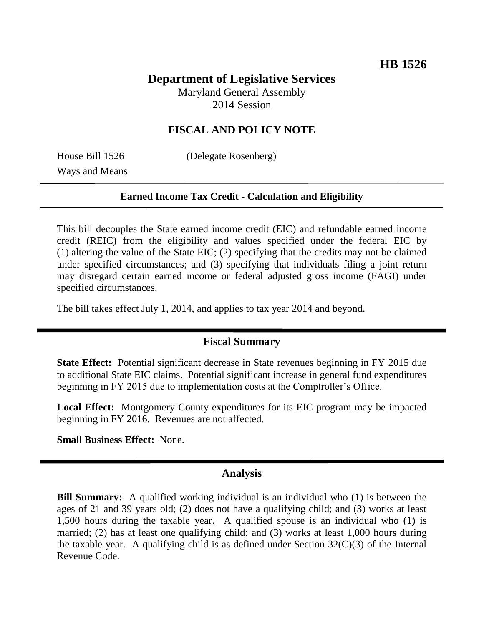# **Department of Legislative Services**

Maryland General Assembly 2014 Session

## **FISCAL AND POLICY NOTE**

Ways and Means

House Bill 1526 (Delegate Rosenberg)

#### **Earned Income Tax Credit - Calculation and Eligibility**

This bill decouples the State earned income credit (EIC) and refundable earned income credit (REIC) from the eligibility and values specified under the federal EIC by (1) altering the value of the State EIC; (2) specifying that the credits may not be claimed under specified circumstances; and (3) specifying that individuals filing a joint return may disregard certain earned income or federal adjusted gross income (FAGI) under specified circumstances.

The bill takes effect July 1, 2014, and applies to tax year 2014 and beyond.

### **Fiscal Summary**

**State Effect:** Potential significant decrease in State revenues beginning in FY 2015 due to additional State EIC claims. Potential significant increase in general fund expenditures beginning in FY 2015 due to implementation costs at the Comptroller's Office.

**Local Effect:** Montgomery County expenditures for its EIC program may be impacted beginning in FY 2016. Revenues are not affected.

**Small Business Effect:** None.

### **Analysis**

**Bill Summary:** A qualified working individual is an individual who (1) is between the ages of 21 and 39 years old; (2) does not have a qualifying child; and (3) works at least 1,500 hours during the taxable year. A qualified spouse is an individual who (1) is married; (2) has at least one qualifying child; and (3) works at least 1,000 hours during the taxable year. A qualifying child is as defined under Section  $32(C)(3)$  of the Internal Revenue Code.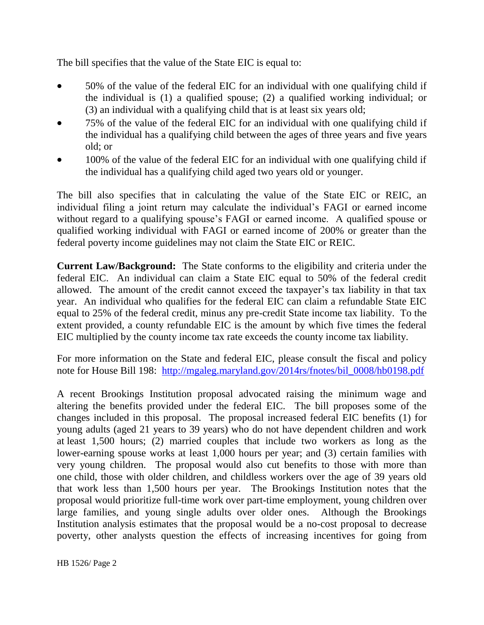The bill specifies that the value of the State EIC is equal to:

- 50% of the value of the federal EIC for an individual with one qualifying child if the individual is (1) a qualified spouse; (2) a qualified working individual; or (3) an individual with a qualifying child that is at least six years old;
- 75% of the value of the federal EIC for an individual with one qualifying child if the individual has a qualifying child between the ages of three years and five years old; or
- 100% of the value of the federal EIC for an individual with one qualifying child if the individual has a qualifying child aged two years old or younger.

The bill also specifies that in calculating the value of the State EIC or REIC, an individual filing a joint return may calculate the individual's FAGI or earned income without regard to a qualifying spouse's FAGI or earned income. A qualified spouse or qualified working individual with FAGI or earned income of 200% or greater than the federal poverty income guidelines may not claim the State EIC or REIC.

**Current Law/Background:** The State conforms to the eligibility and criteria under the federal EIC. An individual can claim a State EIC equal to 50% of the federal credit allowed. The amount of the credit cannot exceed the taxpayer's tax liability in that tax year. An individual who qualifies for the federal EIC can claim a refundable State EIC equal to 25% of the federal credit, minus any pre-credit State income tax liability. To the extent provided, a county refundable EIC is the amount by which five times the federal EIC multiplied by the county income tax rate exceeds the county income tax liability.

For more information on the State and federal EIC, please consult the fiscal and policy note for House Bill 198: [http://mgaleg.maryland.gov/2014rs/fnotes/bil\\_0008/hb0198.pdf](http://mgaleg.maryland.gov/2014rs/fnotes/bil_0008/hb0198.pdf)

A recent Brookings Institution proposal advocated raising the minimum wage and altering the benefits provided under the federal EIC. The bill proposes some of the changes included in this proposal. The proposal increased federal EIC benefits (1) for young adults (aged 21 years to 39 years) who do not have dependent children and work at least 1,500 hours; (2) married couples that include two workers as long as the lower-earning spouse works at least 1,000 hours per year; and (3) certain families with very young children. The proposal would also cut benefits to those with more than one child, those with older children, and childless workers over the age of 39 years old that work less than 1,500 hours per year. The Brookings Institution notes that the proposal would prioritize full-time work over part-time employment, young children over large families, and young single adults over older ones. Although the Brookings Institution analysis estimates that the proposal would be a no-cost proposal to decrease poverty, other analysts question the effects of increasing incentives for going from